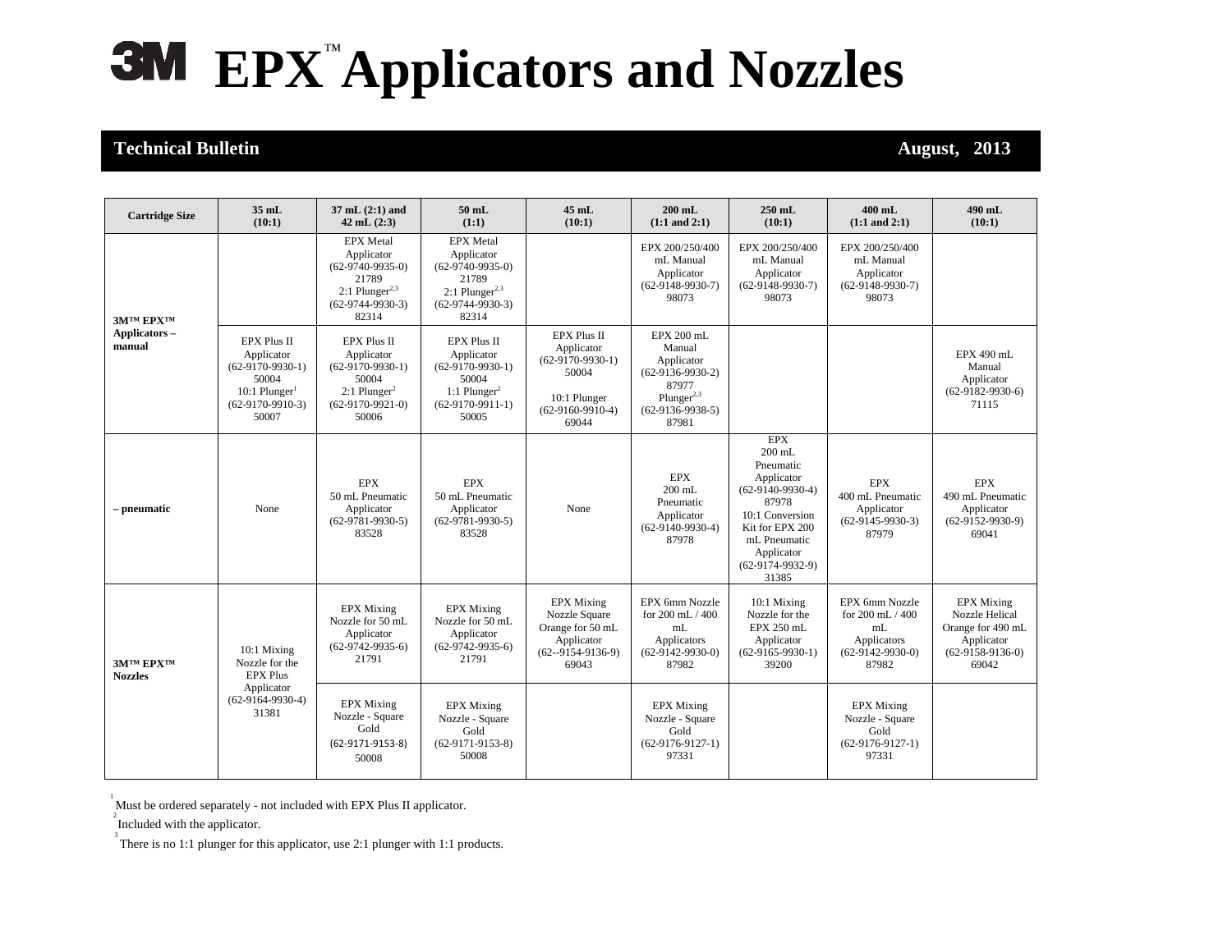## **EPX**™**Applicators and Nozzles**

## **Technical Bulletin August, 2013**

| <b>Cartridge Size</b>                       | $35$ mL<br>(10:1)                                                                                                           | $37$ mL $(2:1)$ and<br>$42$ mL $(2:3)$                                                                                       | $50$ mL<br>(1:1)                                                                                                           | $45$ mL<br>(10:1)                                                                                              | $200$ mL<br>$(1:1$ and $2:1)$                                                                                              | 250 mL<br>(10:1)                                                                                                                                                                    | $400$ mL<br>$(1:1$ and $2:1)$                                                          | 490 mL<br>(10:1)                                                                                      |
|---------------------------------------------|-----------------------------------------------------------------------------------------------------------------------------|------------------------------------------------------------------------------------------------------------------------------|----------------------------------------------------------------------------------------------------------------------------|----------------------------------------------------------------------------------------------------------------|----------------------------------------------------------------------------------------------------------------------------|-------------------------------------------------------------------------------------------------------------------------------------------------------------------------------------|----------------------------------------------------------------------------------------|-------------------------------------------------------------------------------------------------------|
| <b>3MTM EPXTM</b><br>Applicators-<br>manual |                                                                                                                             | <b>EPX</b> Metal<br>Applicator<br>$(62-9740-9935-0)$<br>21789<br>$2:1$ Plunger <sup>2,3</sup><br>$(62-9744-9930-3)$<br>82314 | <b>EPX</b> Metal<br>Applicator<br>$(62-9740-9935-0)$<br>21789<br>2:1 Plunger <sup>2,3</sup><br>$(62-9744-9930-3)$<br>82314 |                                                                                                                | EPX 200/250/400<br>mL Manual<br>Applicator<br>$(62-9148-9930-7)$<br>98073                                                  | EPX 200/250/400<br>mL Manual<br>Applicator<br>$(62-9148-9930-7)$<br>98073                                                                                                           | EPX 200/250/400<br>mL Manual<br>Applicator<br>$(62-9148-9930-7)$<br>98073              |                                                                                                       |
|                                             | <b>EPX Plus II</b><br>Applicator<br>$(62-9170-9930-1)$<br>50004<br>10:1 Plunger <sup>1</sup><br>$(62-9170-9910-3)$<br>50007 | <b>EPX Plus II</b><br>Applicator<br>$(62-9170-9930-1)$<br>50004<br>$2:1$ Plunger <sup>2</sup><br>$(62-9170-9921-0)$<br>50006 | <b>EPX Plus II</b><br>Applicator<br>$(62-9170-9930-1)$<br>50004<br>1:1 Plunger <sup>2</sup><br>$(62-9170-9911-1)$<br>50005 | <b>EPX Plus II</b><br>Applicator<br>$(62-9170-9930-1)$<br>50004<br>10:1 Plunger<br>$(62-9160-9910-4)$<br>69044 | EPX 200 mL<br>Manual<br>Applicator<br>$(62-9136-9930-2)$<br>87977<br>Plunger <sup>2,3</sup><br>$(62-9136-9938-5)$<br>87981 |                                                                                                                                                                                     |                                                                                        | EPX 490 mL<br>Manual<br>Applicator<br>$(62-9182-9930-6)$<br>71115                                     |
| – pneumatic                                 | None                                                                                                                        | <b>EPX</b><br>50 mL Pneumatic<br>Applicator<br>$(62-9781-9930-5)$<br>83528                                                   | <b>EPX</b><br>50 mL Pneumatic<br>Applicator<br>$(62-9781-9930-5)$<br>83528                                                 | None                                                                                                           | <b>EPX</b><br>$200$ mL<br>Pneumatic<br>Applicator<br>$(62-9140-9930-4)$<br>87978                                           | <b>EPX</b><br>$200$ mL<br>Pneumatic<br>Applicator<br>$(62-9140-9930-4)$<br>87978<br>10:1 Conversion<br>Kit for EPX 200<br>mL Pneumatic<br>Applicator<br>$(62-9174-9932-9)$<br>31385 | <b>EPX</b><br>400 mL Pneumatic<br>Applicator<br>$(62-9145-9930-3)$<br>87979            | <b>EPX</b><br>490 mL Pneumatic<br>Applicator<br>$(62-9152-9930-9)$<br>69041                           |
| <b>3MTM EPXTM</b><br><b>Nozzles</b>         | 10:1 Mixing<br>Nozzle for the<br><b>EPX Plus</b><br>Applicator<br>$(62-9164-9930-4)$<br>31381                               | <b>EPX</b> Mixing<br>Nozzle for 50 mL<br>Applicator<br>$(62-9742-9935-6)$<br>21791                                           | <b>EPX</b> Mixing<br>Nozzle for 50 mL<br>Applicator<br>$(62-9742-9935-6)$<br>21791                                         | <b>EPX</b> Mixing<br>Nozzle Square<br>Orange for 50 mL<br>Applicator<br>$(62 - 9154 - 9136 - 9)$<br>69043      | EPX 6mm Nozzle<br>for 200 mL / 400<br>mL<br>Applicators<br>$(62-9142-9930-0)$<br>87982                                     | $10:1$ Mixing<br>Nozzle for the<br>EPX 250 mL<br>Applicator<br>$(62-9165-9930-1)$<br>39200                                                                                          | EPX 6mm Nozzle<br>for 200 mL / 400<br>mL<br>Applicators<br>$(62-9142-9930-0)$<br>87982 | <b>EPX</b> Mixing<br>Nozzle Helical<br>Orange for 490 mL<br>Applicator<br>$(62-9158-9136-0)$<br>69042 |
|                                             |                                                                                                                             | <b>EPX Mixing</b><br>Nozzle - Square<br>Gold<br>(62-9171-9153-8)<br>50008                                                    | <b>EPX</b> Mixing<br>Nozzle - Square<br>Gold<br>$(62-9171-9153-8)$<br>50008                                                |                                                                                                                | <b>EPX</b> Mixing<br>Nozzle - Square<br>Gold<br>$(62-9176-9127-1)$<br>97331                                                |                                                                                                                                                                                     | <b>EPX</b> Mixing<br>Nozzle - Square<br>Gold<br>$(62-9176-9127-1)$<br>97331            |                                                                                                       |

Must be ordered separately - not included with EPX Plus II applicator.

 $\sum_{n=1}^{\infty}$  Included with the applicator.

 $3$  There is no 1:1 plunger for this applicator, use 2:1 plunger with 1:1 products.